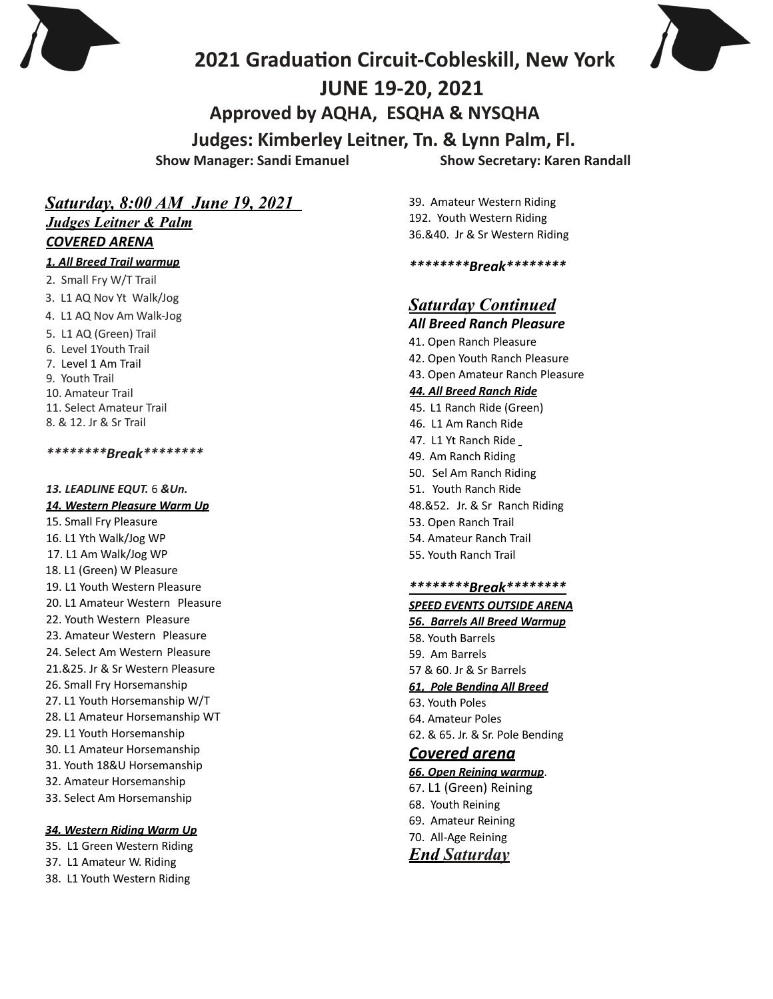



# **2021 Graduaton Circuit-Cobleskill, New York JUNE 19-20, 2021 Approved by AQHA, ESQHA & NYSQHA Judges: Kimberley Leitner, Tn. & Lynn Palm, Fl.**

**Show Manager: Sandi Emanuel Show Secretary: Karen Randall**

# *Saturday, 8:00 AM June 19, 2021*

*Judges Leitner & Palm COVERED ARENA*

## **1. All Breed Trail warmup**

2. Small Fry W/T Trail 3. L1 AQ Nov Yt Walk/Jog 4. L1 AQ Nov Am Walk-Jog

5. L1 AQ (Green) Trail

- 6. Level 1Youth Trail
- 7. Level 1 Am Trail
- 9. Youth Trail
- 10. Amateur Trail
- 11. Select Amateur Trail
- 8. & 12. Jr & Sr Trail

*\*\*\*\*\*\*\*\*Break\*\*\*\*\*\*\*\**

*13. LEADLINE EQUT.* 6 *&Un.*

#### **14. Western Pleasure Warm Up**

- 15. Small Fry Pleasure 16. L1 Yth Walk/Jog WP
- 17. L1 Am Walk/Jog WP
- 18. L1 (Green) W Pleasure
- 19. L1 Youth Western Pleasure
- 20. L1 Amateur Western Pleasure
- 22. Youth Western Pleasure
- 23. Amateur Western Pleasure
- 24. Select Am Western Pleasure
- 21.&25. Jr & Sr Western Pleasure
- 26. Small Fry Horsemanship
- 27. L1 Youth Horsemanship W/T
- 28. L1 Amateur Horsemanship WT
- 29. L1 Youth Horsemanship
- 30. L1 Amateur Horsemanship
- 31. Youth 18&U Horsemanship
- 32. Amateur Horsemanship
- 33. Select Am Horsemanship

### **34.** Western Riding Warm Up

35. L1 Green Western Riding

- 37. L1 Amateur W. Riding
- 38. L1 Youth Western Riding

39. Amateur Western Riding 192. Youth Western Riding 36.&40. Jr & Sr Western Riding

*\*\*\*\*\*\*\*\*Break\*\*\*\*\*\*\*\**

# *Saturday Continued*

## *All Breed Ranch Pleasure*

- 41. Open Ranch Pleasure
- 42. Open Youth Ranch Pleasure
- 43. Open Amateur Ranch Pleasure

### *44. All Breed Ranch Ride*

- 45. L1 Ranch Ride (Green)
- 46. L1 Am Ranch Ride
- 47. L1 Yt Ranch Ride
- 49. Am Ranch Riding
- 50. Sel Am Ranch Riding
- 51. Youth Ranch Ride
- 48.&52. Jr. & Sr Ranch Riding
- 53. Open Ranch Trail
- 54. Amateur Ranch Trail
- 55. Youth Ranch Trail

### *\*\*\*\*\*\*\*\*Break\*\*\*\*\*\*\*\**

#### **SPEED EVENTS OUTSIDE ARENA**

- *56. Barrels All Breed Warmup*
- 58. Youth Barrels
- 59. Am Barrels
- 57 & 60. Jr & Sr Barrels

## *61, Pole Bending All Breed*

- 63. Youth Poles
- 64. Amateur Poles 62. & 65. Jr. & Sr. Pole Bending

## *Covered arena*

#### *66. Open Reining warmup*.

67. L1 (Green) Reining 68. Youth Reining 69. Amateur Reining 70. All-Age Reining *End Saturday*